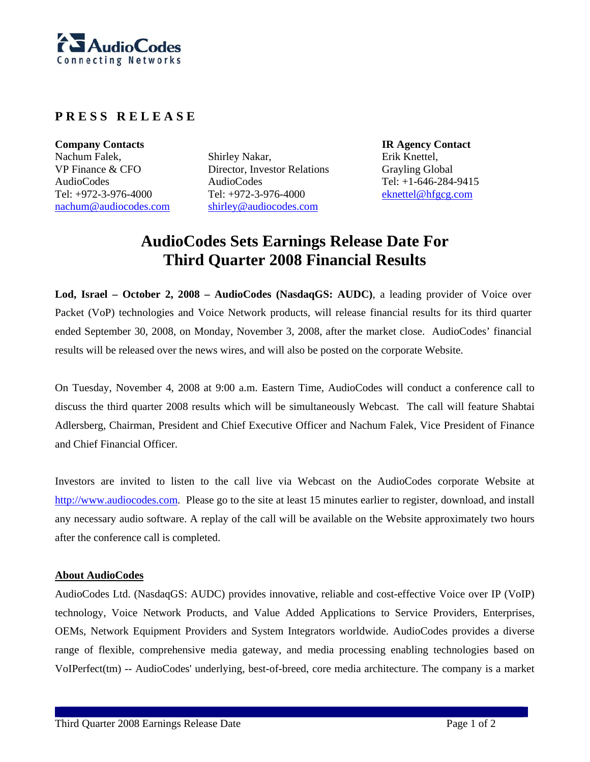

## **P R E S S R E L E A S E**

**Company Contacts IR Agency Contact**  Nachum Falek, VP Finance & CFO AudioCodes Tel: +972-3-976-4000 nachum@audiocodes.com

Shirley Nakar, Director, Investor Relations AudioCodes Tel: +972-3-976-4000 shirley@audiocodes.com

Erik Knettel, Grayling Global Tel: +1-646-284-9415 eknettel@hfgcg.com

## **AudioCodes Sets Earnings Release Date For Third Quarter 2008 Financial Results**

**Lod, Israel – October 2, 2008 – AudioCodes (NasdaqGS: AUDC)**, a leading provider of Voice over Packet (VoP) technologies and Voice Network products, will release financial results for its third quarter ended September 30, 2008, on Monday, November 3, 2008, after the market close. AudioCodes' financial results will be released over the news wires, and will also be posted on the corporate Website.

On Tuesday, November 4, 2008 at 9:00 a.m. Eastern Time, AudioCodes will conduct a conference call to discuss the third quarter 2008 results which will be simultaneously Webcast. The call will feature Shabtai Adlersberg, Chairman, President and Chief Executive Officer and Nachum Falek, Vice President of Finance and Chief Financial Officer.

Investors are invited to listen to the call live via Webcast on the AudioCodes corporate Website at http://www.audiocodes.com. Please go to the site at least 15 minutes earlier to register, download, and install any necessary audio software. A replay of the call will be available on the Website approximately two hours after the conference call is completed.

## **About AudioCodes**

AudioCodes Ltd. (NasdaqGS: AUDC) provides innovative, reliable and cost-effective Voice over IP (VoIP) technology, Voice Network Products, and Value Added Applications to Service Providers, Enterprises, OEMs, Network Equipment Providers and System Integrators worldwide. AudioCodes provides a diverse range of flexible, comprehensive media gateway, and media processing enabling technologies based on VoIPerfect(tm) -- AudioCodes' underlying, best-of-breed, core media architecture. The company is a market